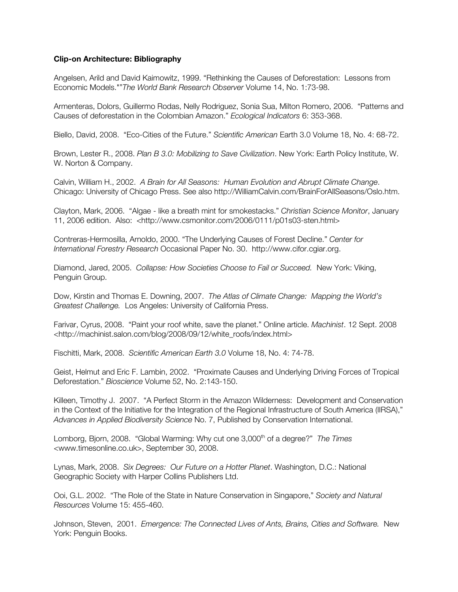## **Clip-on Architecture: Bibliography**

Angelsen, Arild and David Kaimowitz, 1999. "Rethinking the Causes of Deforestation: Lessons from Economic Models.""*The World Bank Research Observer* Volume 14, No. 1:73-98.

Armenteras, Dolors, Guillermo Rodas, Nelly Rodriguez, Sonia Sua, Milton Romero, 2006. "Patterns and Causes of deforestation in the Colombian Amazon." *Ecological Indicators* 6: 353-368.

Biello, David, 2008. "Eco-Cities of the Future." *Scientific American* Earth 3.0 Volume 18, No. 4: 68-72.

Brown, Lester R., 2008. *Plan B 3.0: Mobilizing to Save Civilization*. New York: Earth Policy Institute, W. W. Norton & Company.

Calvin, William H., 2002. *A Brain for All Seasons: Human Evolution and Abrupt Climate Change*. Chicago: University of Chicago Press. See also http://WilliamCalvin.com/BrainForAllSeasons/Oslo.htm.

Clayton, Mark, 2006. "Algae - like a breath mint for smokestacks." *Christian Science Monitor*, January 11, 2006 edition. Also: <http://www.csmonitor.com/2006/0111/p01s03-sten.html>

Contreras-Hermosilla, Arnoldo, 2000. "The Underlying Causes of Forest Decline." *Center for International Forestry Research* Occasional Paper No. 30. http://www.cifor.cgiar.org.

Diamond, Jared, 2005. *Collapse: How Societies Choose to Fail or Succeed.* New York: Viking, Penguin Group.

Dow, Kirstin and Thomas E. Downing, 2007. *The Atlas of Climate Change: Mapping the World's Greatest Challenge.* Los Angeles: University of California Press.

Farivar, Cyrus, 2008. "Paint your roof white, save the planet." Online article. *Machinist*. 12 Sept. 2008 <http://machinist.salon.com/blog/2008/09/12/white\_roofs/index.html>

Fischitti, Mark, 2008. *Scientific American Earth 3.0* Volume 18, No. 4: 74-78.

Geist, Helmut and Eric F. Lambin, 2002. "Proximate Causes and Underlying Driving Forces of Tropical Deforestation." *Bioscience* Volume 52, No. 2:143-150.

Killeen, Timothy J. 2007. "A Perfect Storm in the Amazon Wilderness: Development and Conservation in the Context of the Initiative for the Integration of the Regional Infrastructure of South America (IIRSA)," *Advances in Applied Biodiversity Science* No. 7, Published by Conservation International.

Lomborg, Bjorn, 2008. "Global Warming: Why cut one 3,000<sup>th</sup> of a degree?" The Times <www.timesonline.co.uk>, September 30, 2008.

Lynas, Mark, 2008. *Six Degrees: Our Future on a Hotter Planet*. Washington, D.C.: National Geographic Society with Harper Collins Publishers Ltd.

Ooi, G.L. 2002. "The Role of the State in Nature Conservation in Singapore," *Society and Natural Resources* Volume 15: 455-460.

Johnson, Steven, 2001. *Emergence: The Connected Lives of Ants, Brains, Cities and Software.* New York: Penguin Books.